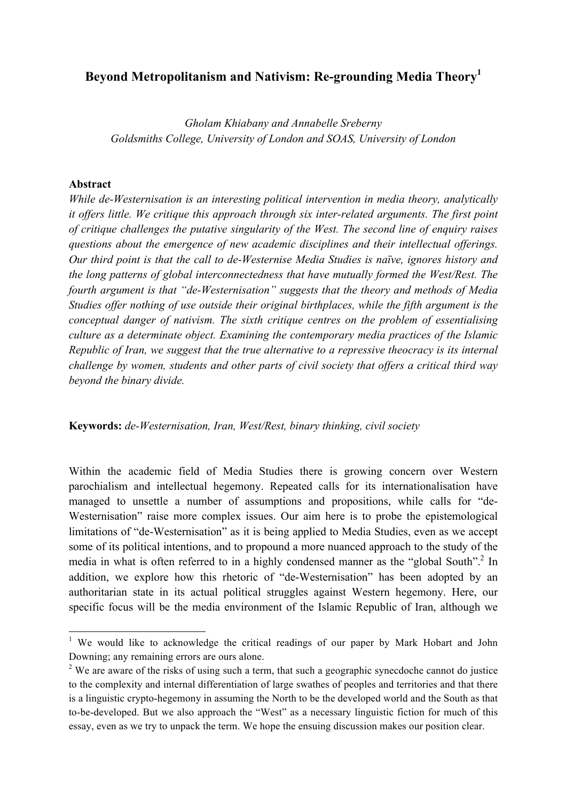# **Beyond Metropolitanism and Nativism: Re-grounding Media Theory<sup>1</sup>**

*Gholam Khiabany and Annabelle Sreberny Goldsmiths College, University of London and SOAS, University of London*

## **Abstract**

*While de-Westernisation is an interesting political intervention in media theory, analytically it offers little. We critique this approach through six inter-related arguments. The first point of critique challenges the putative singularity of the West. The second line of enquiry raises questions about the emergence of new academic disciplines and their intellectual offerings. Our third point is that the call to de-Westernise Media Studies is naïve, ignores history and the long patterns of global interconnectedness that have mutually formed the West/Rest. The fourth argument is that "de-Westernisation" suggests that the theory and methods of Media Studies offer nothing of use outside their original birthplaces, while the fifth argument is the conceptual danger of nativism. The sixth critique centres on the problem of essentialising culture as a determinate object. Examining the contemporary media practices of the Islamic Republic of Iran, we suggest that the true alternative to a repressive theocracy is its internal challenge by women, students and other parts of civil society that offers a critical third way beyond the binary divide.*

## **Keywords:** *de-Westernisation, Iran, West/Rest, binary thinking, civil society*

Within the academic field of Media Studies there is growing concern over Western parochialism and intellectual hegemony. Repeated calls for its internationalisation have managed to unsettle a number of assumptions and propositions, while calls for "de-Westernisation" raise more complex issues. Our aim here is to probe the epistemological limitations of "de-Westernisation" as it is being applied to Media Studies, even as we accept some of its political intentions, and to propound a more nuanced approach to the study of the media in what is often referred to in a highly condensed manner as the "global South".<sup>2</sup> In addition, we explore how this rhetoric of "de-Westernisation" has been adopted by an authoritarian state in its actual political struggles against Western hegemony. Here, our specific focus will be the media environment of the Islamic Republic of Iran, although we

<sup>&</sup>lt;sup>1</sup> We would like to acknowledge the critical readings of our paper by Mark Hobart and John Downing; any remaining errors are ours alone.

<sup>&</sup>lt;sup>2</sup> We are aware of the risks of using such a term, that such a geographic synecdoche cannot do justice to the complexity and internal differentiation of large swathes of peoples and territories and that there is a linguistic crypto-hegemony in assuming the North to be the developed world and the South as that to-be-developed. But we also approach the "West" as a necessary linguistic fiction for much of this essay, even as we try to unpack the term. We hope the ensuing discussion makes our position clear.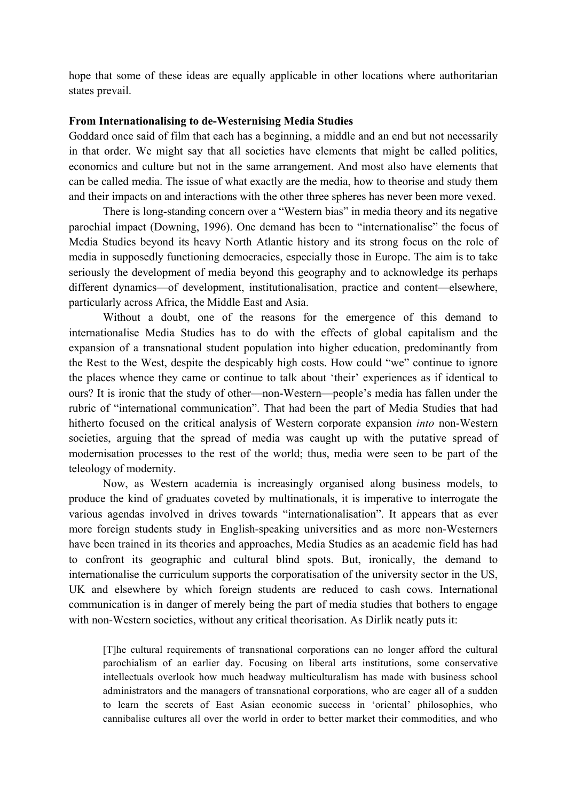hope that some of these ideas are equally applicable in other locations where authoritarian states prevail.

## **From Internationalising to de-Westernising Media Studies**

Goddard once said of film that each has a beginning, a middle and an end but not necessarily in that order. We might say that all societies have elements that might be called politics, economics and culture but not in the same arrangement. And most also have elements that can be called media. The issue of what exactly are the media, how to theorise and study them and their impacts on and interactions with the other three spheres has never been more vexed.

There is long-standing concern over a "Western bias" in media theory and its negative parochial impact (Downing, 1996). One demand has been to "internationalise" the focus of Media Studies beyond its heavy North Atlantic history and its strong focus on the role of media in supposedly functioning democracies, especially those in Europe. The aim is to take seriously the development of media beyond this geography and to acknowledge its perhaps different dynamics—of development, institutionalisation, practice and content—elsewhere, particularly across Africa, the Middle East and Asia.

Without a doubt, one of the reasons for the emergence of this demand to internationalise Media Studies has to do with the effects of global capitalism and the expansion of a transnational student population into higher education, predominantly from the Rest to the West, despite the despicably high costs. How could "we" continue to ignore the places whence they came or continue to talk about 'their' experiences as if identical to ours? It is ironic that the study of other—non-Western—people's media has fallen under the rubric of "international communication". That had been the part of Media Studies that had hitherto focused on the critical analysis of Western corporate expansion *into* non-Western societies, arguing that the spread of media was caught up with the putative spread of modernisation processes to the rest of the world; thus, media were seen to be part of the teleology of modernity.

Now, as Western academia is increasingly organised along business models, to produce the kind of graduates coveted by multinationals, it is imperative to interrogate the various agendas involved in drives towards "internationalisation". It appears that as ever more foreign students study in English-speaking universities and as more non-Westerners have been trained in its theories and approaches, Media Studies as an academic field has had to confront its geographic and cultural blind spots. But, ironically, the demand to internationalise the curriculum supports the corporatisation of the university sector in the US, UK and elsewhere by which foreign students are reduced to cash cows. International communication is in danger of merely being the part of media studies that bothers to engage with non-Western societies, without any critical theorisation. As Dirlik neatly puts it:

[T]he cultural requirements of transnational corporations can no longer afford the cultural parochialism of an earlier day. Focusing on liberal arts institutions, some conservative intellectuals overlook how much headway multiculturalism has made with business school administrators and the managers of transnational corporations, who are eager all of a sudden to learn the secrets of East Asian economic success in 'oriental' philosophies, who cannibalise cultures all over the world in order to better market their commodities, and who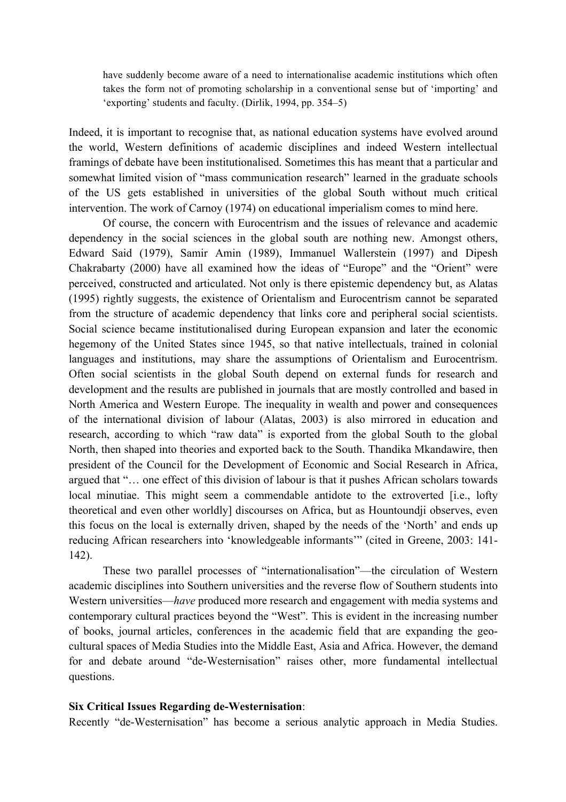have suddenly become aware of a need to internationalise academic institutions which often takes the form not of promoting scholarship in a conventional sense but of 'importing' and 'exporting' students and faculty. (Dirlik, 1994, pp. 354–5)

Indeed, it is important to recognise that, as national education systems have evolved around the world, Western definitions of academic disciplines and indeed Western intellectual framings of debate have been institutionalised. Sometimes this has meant that a particular and somewhat limited vision of "mass communication research" learned in the graduate schools of the US gets established in universities of the global South without much critical intervention. The work of Carnoy (1974) on educational imperialism comes to mind here.

Of course, the concern with Eurocentrism and the issues of relevance and academic dependency in the social sciences in the global south are nothing new. Amongst others, Edward Said (1979), Samir Amin (1989), Immanuel Wallerstein (1997) and Dipesh Chakrabarty (2000) have all examined how the ideas of "Europe" and the "Orient" were perceived, constructed and articulated. Not only is there epistemic dependency but, as Alatas (1995) rightly suggests, the existence of Orientalism and Eurocentrism cannot be separated from the structure of academic dependency that links core and peripheral social scientists. Social science became institutionalised during European expansion and later the economic hegemony of the United States since 1945, so that native intellectuals, trained in colonial languages and institutions, may share the assumptions of Orientalism and Eurocentrism. Often social scientists in the global South depend on external funds for research and development and the results are published in journals that are mostly controlled and based in North America and Western Europe. The inequality in wealth and power and consequences of the international division of labour (Alatas, 2003) is also mirrored in education and research, according to which "raw data" is exported from the global South to the global North, then shaped into theories and exported back to the South. Thandika Mkandawire, then president of the Council for the Development of Economic and Social Research in Africa, argued that "… one effect of this division of labour is that it pushes African scholars towards local minutiae. This might seem a commendable antidote to the extroverted [i.e., lofty theoretical and even other worldly] discourses on Africa, but as Hountoundji observes, even this focus on the local is externally driven, shaped by the needs of the 'North' and ends up reducing African researchers into 'knowledgeable informants'" (cited in Greene, 2003: 141- 142).

These two parallel processes of "internationalisation"—the circulation of Western academic disciplines into Southern universities and the reverse flow of Southern students into Western universities—*have* produced more research and engagement with media systems and contemporary cultural practices beyond the "West". This is evident in the increasing number of books, journal articles, conferences in the academic field that are expanding the geocultural spaces of Media Studies into the Middle East, Asia and Africa. However, the demand for and debate around "de-Westernisation" raises other, more fundamental intellectual questions.

#### **Six Critical Issues Regarding de-Westernisation**:

Recently "de-Westernisation" has become a serious analytic approach in Media Studies.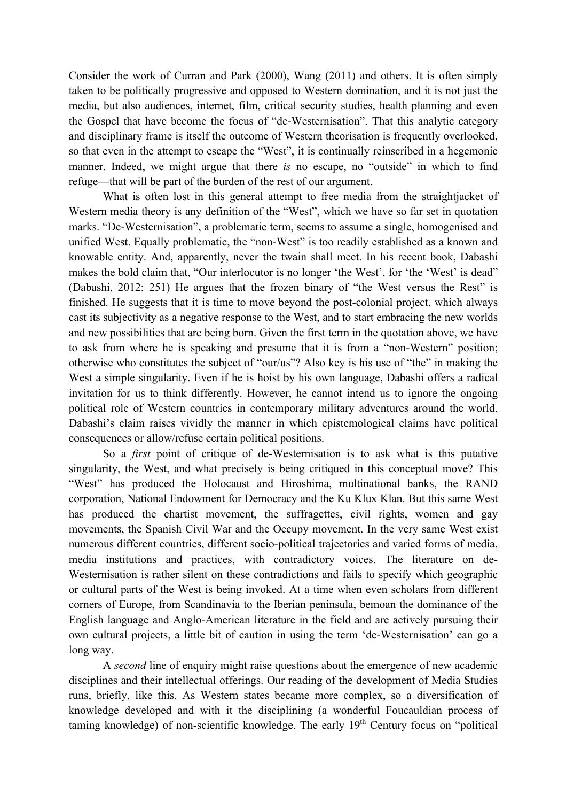Consider the work of Curran and Park (2000), Wang (2011) and others. It is often simply taken to be politically progressive and opposed to Western domination, and it is not just the media, but also audiences, internet, film, critical security studies, health planning and even the Gospel that have become the focus of "de-Westernisation". That this analytic category and disciplinary frame is itself the outcome of Western theorisation is frequently overlooked, so that even in the attempt to escape the "West", it is continually reinscribed in a hegemonic manner. Indeed, we might argue that there *is* no escape, no "outside" in which to find refuge—that will be part of the burden of the rest of our argument.

What is often lost in this general attempt to free media from the straightjacket of Western media theory is any definition of the "West", which we have so far set in quotation marks. "De-Westernisation", a problematic term, seems to assume a single, homogenised and unified West. Equally problematic, the "non-West" is too readily established as a known and knowable entity. And, apparently, never the twain shall meet. In his recent book, Dabashi makes the bold claim that, "Our interlocutor is no longer 'the West', for 'the 'West' is dead" (Dabashi, 2012: 251) He argues that the frozen binary of "the West versus the Rest" is finished. He suggests that it is time to move beyond the post-colonial project, which always cast its subjectivity as a negative response to the West, and to start embracing the new worlds and new possibilities that are being born. Given the first term in the quotation above, we have to ask from where he is speaking and presume that it is from a "non-Western" position; otherwise who constitutes the subject of "our/us"? Also key is his use of "the" in making the West a simple singularity. Even if he is hoist by his own language, Dabashi offers a radical invitation for us to think differently. However, he cannot intend us to ignore the ongoing political role of Western countries in contemporary military adventures around the world. Dabashi's claim raises vividly the manner in which epistemological claims have political consequences or allow/refuse certain political positions.

So a *first* point of critique of de-Westernisation is to ask what is this putative singularity, the West, and what precisely is being critiqued in this conceptual move? This "West" has produced the Holocaust and Hiroshima, multinational banks, the RAND corporation, National Endowment for Democracy and the Ku Klux Klan. But this same West has produced the chartist movement, the suffragettes, civil rights, women and gay movements, the Spanish Civil War and the Occupy movement. In the very same West exist numerous different countries, different socio-political trajectories and varied forms of media, media institutions and practices, with contradictory voices. The literature on de-Westernisation is rather silent on these contradictions and fails to specify which geographic or cultural parts of the West is being invoked. At a time when even scholars from different corners of Europe, from Scandinavia to the Iberian peninsula, bemoan the dominance of the English language and Anglo-American literature in the field and are actively pursuing their own cultural projects, a little bit of caution in using the term 'de-Westernisation' can go a long way.

A *second* line of enquiry might raise questions about the emergence of new academic disciplines and their intellectual offerings. Our reading of the development of Media Studies runs, briefly, like this. As Western states became more complex, so a diversification of knowledge developed and with it the disciplining (a wonderful Foucauldian process of taming knowledge) of non-scientific knowledge. The early  $19<sup>th</sup>$  Century focus on "political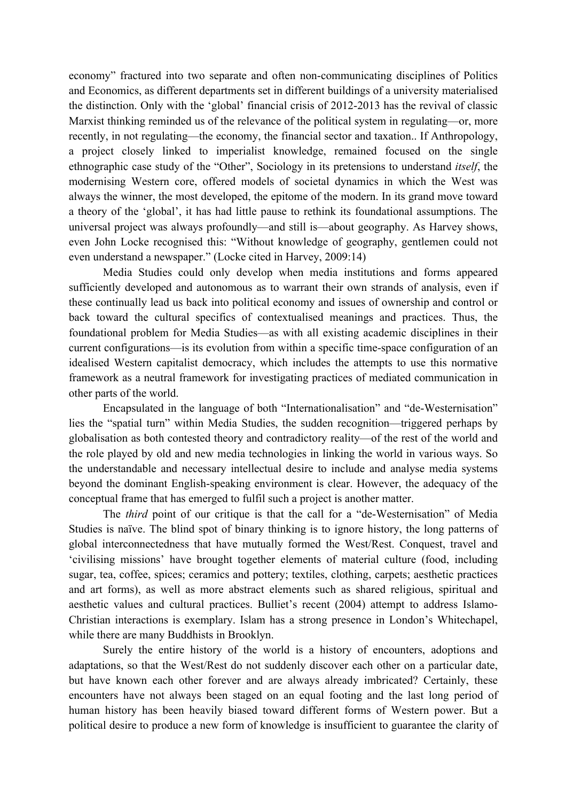economy" fractured into two separate and often non-communicating disciplines of Politics and Economics, as different departments set in different buildings of a university materialised the distinction. Only with the 'global' financial crisis of 2012-2013 has the revival of classic Marxist thinking reminded us of the relevance of the political system in regulating—or, more recently, in not regulating—the economy, the financial sector and taxation.. If Anthropology, a project closely linked to imperialist knowledge, remained focused on the single ethnographic case study of the "Other", Sociology in its pretensions to understand *itself*, the modernising Western core, offered models of societal dynamics in which the West was always the winner, the most developed, the epitome of the modern. In its grand move toward a theory of the 'global', it has had little pause to rethink its foundational assumptions. The universal project was always profoundly—and still is—about geography. As Harvey shows, even John Locke recognised this: "Without knowledge of geography, gentlemen could not even understand a newspaper." (Locke cited in Harvey, 2009:14)

Media Studies could only develop when media institutions and forms appeared sufficiently developed and autonomous as to warrant their own strands of analysis, even if these continually lead us back into political economy and issues of ownership and control or back toward the cultural specifics of contextualised meanings and practices. Thus, the foundational problem for Media Studies—as with all existing academic disciplines in their current configurations—is its evolution from within a specific time-space configuration of an idealised Western capitalist democracy, which includes the attempts to use this normative framework as a neutral framework for investigating practices of mediated communication in other parts of the world.

Encapsulated in the language of both "Internationalisation" and "de-Westernisation" lies the "spatial turn" within Media Studies, the sudden recognition—triggered perhaps by globalisation as both contested theory and contradictory reality—of the rest of the world and the role played by old and new media technologies in linking the world in various ways. So the understandable and necessary intellectual desire to include and analyse media systems beyond the dominant English-speaking environment is clear. However, the adequacy of the conceptual frame that has emerged to fulfil such a project is another matter.

The *third* point of our critique is that the call for a "de-Westernisation" of Media Studies is naïve. The blind spot of binary thinking is to ignore history, the long patterns of global interconnectedness that have mutually formed the West/Rest. Conquest, travel and 'civilising missions' have brought together elements of material culture (food, including sugar, tea, coffee, spices; ceramics and pottery; textiles, clothing, carpets; aesthetic practices and art forms), as well as more abstract elements such as shared religious, spiritual and aesthetic values and cultural practices. Bulliet's recent (2004) attempt to address Islamo-Christian interactions is exemplary. Islam has a strong presence in London's Whitechapel, while there are many Buddhists in Brooklyn.

Surely the entire history of the world is a history of encounters, adoptions and adaptations, so that the West/Rest do not suddenly discover each other on a particular date, but have known each other forever and are always already imbricated? Certainly, these encounters have not always been staged on an equal footing and the last long period of human history has been heavily biased toward different forms of Western power. But a political desire to produce a new form of knowledge is insufficient to guarantee the clarity of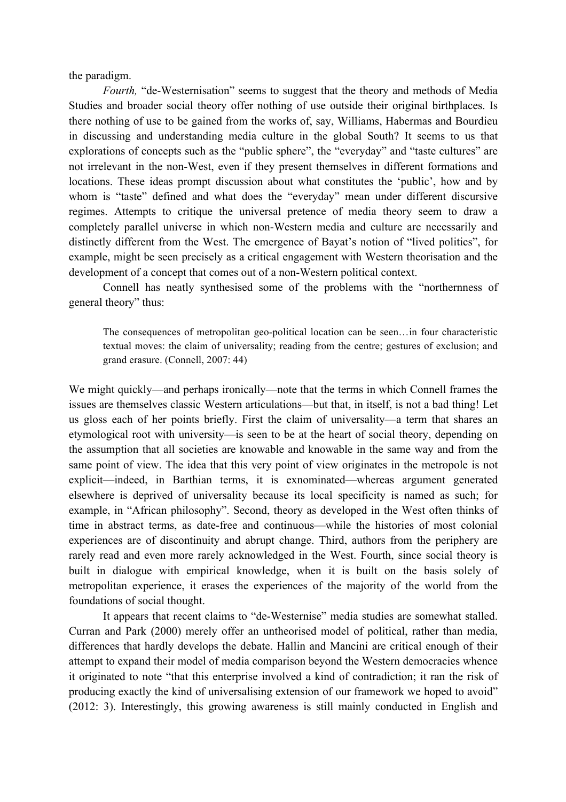the paradigm.

*Fourth,* "de-Westernisation" seems to suggest that the theory and methods of Media Studies and broader social theory offer nothing of use outside their original birthplaces. Is there nothing of use to be gained from the works of, say, Williams, Habermas and Bourdieu in discussing and understanding media culture in the global South? It seems to us that explorations of concepts such as the "public sphere", the "everyday" and "taste cultures" are not irrelevant in the non-West, even if they present themselves in different formations and locations. These ideas prompt discussion about what constitutes the 'public', how and by whom is "taste" defined and what does the "everyday" mean under different discursive regimes. Attempts to critique the universal pretence of media theory seem to draw a completely parallel universe in which non-Western media and culture are necessarily and distinctly different from the West. The emergence of Bayat's notion of "lived politics", for example, might be seen precisely as a critical engagement with Western theorisation and the development of a concept that comes out of a non-Western political context.

Connell has neatly synthesised some of the problems with the "northernness of general theory" thus:

The consequences of metropolitan geo-political location can be seen…in four characteristic textual moves: the claim of universality; reading from the centre; gestures of exclusion; and grand erasure. (Connell, 2007: 44)

We might quickly—and perhaps ironically—note that the terms in which Connell frames the issues are themselves classic Western articulations—but that, in itself, is not a bad thing! Let us gloss each of her points briefly. First the claim of universality—a term that shares an etymological root with university—is seen to be at the heart of social theory, depending on the assumption that all societies are knowable and knowable in the same way and from the same point of view. The idea that this very point of view originates in the metropole is not explicit—indeed, in Barthian terms, it is exnominated—whereas argument generated elsewhere is deprived of universality because its local specificity is named as such; for example, in "African philosophy". Second, theory as developed in the West often thinks of time in abstract terms, as date-free and continuous—while the histories of most colonial experiences are of discontinuity and abrupt change. Third, authors from the periphery are rarely read and even more rarely acknowledged in the West. Fourth, since social theory is built in dialogue with empirical knowledge, when it is built on the basis solely of metropolitan experience, it erases the experiences of the majority of the world from the foundations of social thought.

It appears that recent claims to "de-Westernise" media studies are somewhat stalled. Curran and Park (2000) merely offer an untheorised model of political, rather than media, differences that hardly develops the debate. Hallin and Mancini are critical enough of their attempt to expand their model of media comparison beyond the Western democracies whence it originated to note "that this enterprise involved a kind of contradiction; it ran the risk of producing exactly the kind of universalising extension of our framework we hoped to avoid" (2012: 3). Interestingly, this growing awareness is still mainly conducted in English and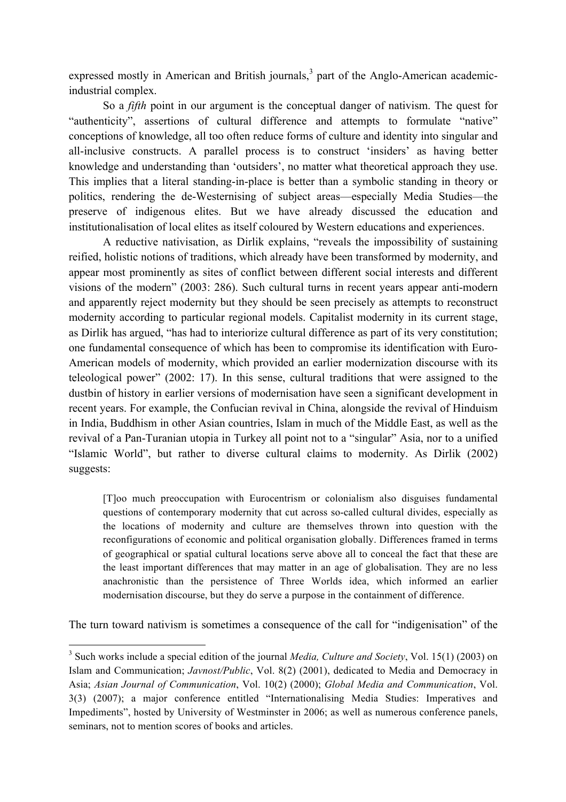expressed mostly in American and British journals,<sup>3</sup> part of the Anglo-American academicindustrial complex.

So a *fifth* point in our argument is the conceptual danger of nativism. The quest for "authenticity", assertions of cultural difference and attempts to formulate "native" conceptions of knowledge, all too often reduce forms of culture and identity into singular and all-inclusive constructs. A parallel process is to construct 'insiders' as having better knowledge and understanding than 'outsiders', no matter what theoretical approach they use. This implies that a literal standing-in-place is better than a symbolic standing in theory or politics, rendering the de-Westernising of subject areas—especially Media Studies—the preserve of indigenous elites. But we have already discussed the education and institutionalisation of local elites as itself coloured by Western educations and experiences.

A reductive nativisation, as Dirlik explains, "reveals the impossibility of sustaining reified, holistic notions of traditions, which already have been transformed by modernity, and appear most prominently as sites of conflict between different social interests and different visions of the modern" (2003: 286). Such cultural turns in recent years appear anti-modern and apparently reject modernity but they should be seen precisely as attempts to reconstruct modernity according to particular regional models. Capitalist modernity in its current stage, as Dirlik has argued, "has had to interiorize cultural difference as part of its very constitution; one fundamental consequence of which has been to compromise its identification with Euro-American models of modernity, which provided an earlier modernization discourse with its teleological power" (2002: 17). In this sense, cultural traditions that were assigned to the dustbin of history in earlier versions of modernisation have seen a significant development in recent years. For example, the Confucian revival in China, alongside the revival of Hinduism in India, Buddhism in other Asian countries, Islam in much of the Middle East, as well as the revival of a Pan-Turanian utopia in Turkey all point not to a "singular" Asia, nor to a unified "Islamic World", but rather to diverse cultural claims to modernity. As Dirlik (2002) suggests:

[T]oo much preoccupation with Eurocentrism or colonialism also disguises fundamental questions of contemporary modernity that cut across so-called cultural divides, especially as the locations of modernity and culture are themselves thrown into question with the reconfigurations of economic and political organisation globally. Differences framed in terms of geographical or spatial cultural locations serve above all to conceal the fact that these are the least important differences that may matter in an age of globalisation. They are no less anachronistic than the persistence of Three Worlds idea, which informed an earlier modernisation discourse, but they do serve a purpose in the containment of difference.

The turn toward nativism is sometimes a consequence of the call for "indigenisation" of the

 <sup>3</sup> Such works include a special edition of the journal *Media, Culture and Society*, Vol. 15(1) (2003) on Islam and Communication; *Javnost/Public*, Vol. 8(2) (2001), dedicated to Media and Democracy in Asia; *Asian Journal of Communication*, Vol. 10(2) (2000); *Global Media and Communication*, Vol. 3(3) (2007); a major conference entitled "Internationalising Media Studies: Imperatives and Impediments", hosted by University of Westminster in 2006; as well as numerous conference panels, seminars, not to mention scores of books and articles.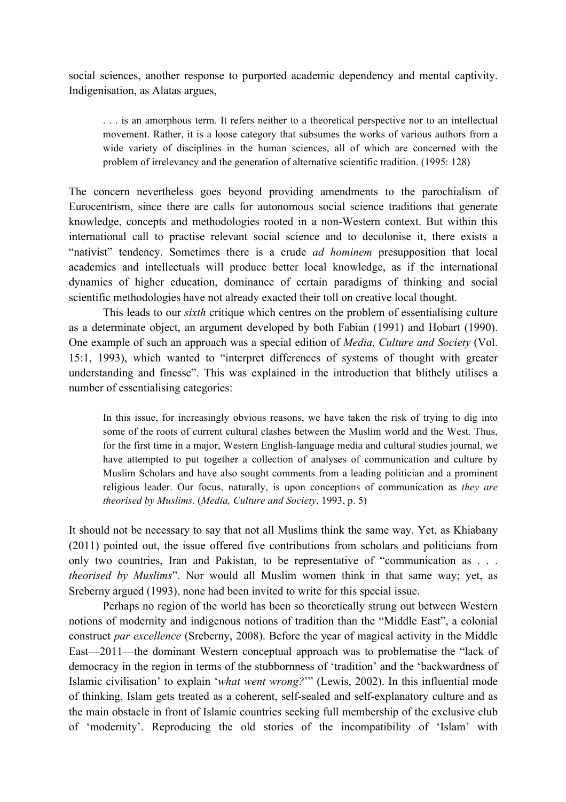social sciences, another response to purported academic dependency and mental captivity. Indigenisation, as Alatas argues,

. . . is an amorphous term. It refers neither to a theoretical perspective nor to an intellectual movement. Rather, it is a loose category that subsumes the works of various authors from a wide variety of disciplines in the human sciences, all of which are concerned with the problem of irrelevancy and the generation of alternative scientific tradition. (1995: 128)

The concern nevertheless goes beyond providing amendments to the parochialism of Eurocentrism, since there are calls for autonomous social science traditions that generate knowledge, concepts and methodologies rooted in a non-Western context. But within this international call to practise relevant social science and to decolonise it, there exists a "nativist" tendency. Sometimes there is a crude *ad hominem* presupposition that local academics and intellectuals will produce better local knowledge, as if the international dynamics of higher education, dominance of certain paradigms of thinking and social scientific methodologies have not already exacted their toll on creative local thought.

This leads to our *sixth* critique which centres on the problem of essentialising culture as a determinate object, an argument developed by both Fabian (1991) and Hobart (1990). One example of such an approach was a special edition of *Media, Culture and Society* (Vol. 15:1, 1993), which wanted to "interpret differences of systems of thought with greater understanding and finesse". This was explained in the introduction that blithely utilises a number of essentialising categories:

In this issue, for increasingly obvious reasons, we have taken the risk of trying to dig into some of the roots of current cultural clashes between the Muslim world and the West. Thus, for the first time in a major, Western English-language media and cultural studies journal, we have attempted to put together a collection of analyses of communication and culture by Muslim Scholars and have also sought comments from a leading politician and a prominent religious leader. Our focus, naturally, is upon conceptions of communication as *they are theorised by Muslims*. (*Media, Culture and Society*, 1993, p. 5)

It should not be necessary to say that not all Muslims think the same way. Yet, as Khiabany (2011) pointed out, the issue offered five contributions from scholars and politicians from only two countries, Iran and Pakistan, to be representative of "communication as . . . *theorised by Muslims*". Nor would all Muslim women think in that same way; yet, as Sreberny argued (1993), none had been invited to write for this special issue.

Perhaps no region of the world has been so theoretically strung out between Western notions of modernity and indigenous notions of tradition than the "Middle East", a colonial construct *par excellence* (Sreberny, 2008). Before the year of magical activity in the Middle East—2011—the dominant Western conceptual approach was to problematise the "lack of democracy in the region in terms of the stubbornness of 'tradition' and the 'backwardness of Islamic civilisation' to explain '*what went wrong?*'" (Lewis, 2002). In this influential mode of thinking, Islam gets treated as a coherent, self-sealed and self-explanatory culture and as the main obstacle in front of Islamic countries seeking full membership of the exclusive club of 'modernity'. Reproducing the old stories of the incompatibility of 'Islam' with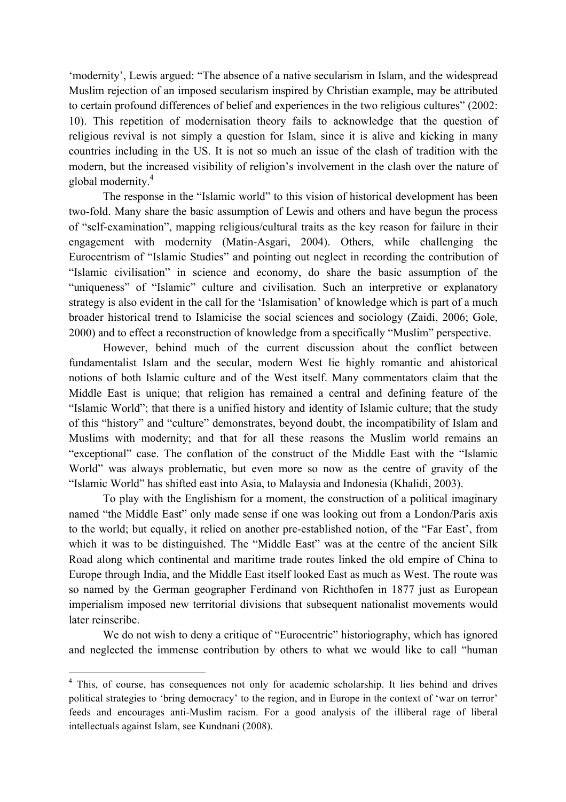'modernity', Lewis argued: "The absence of a native secularism in Islam, and the widespread Muslim rejection of an imposed secularism inspired by Christian example, may be attributed to certain profound differences of belief and experiences in the two religious cultures" (2002: 10). This repetition of modernisation theory fails to acknowledge that the question of religious revival is not simply a question for Islam, since it is alive and kicking in many countries including in the US. It is not so much an issue of the clash of tradition with the modern, but the increased visibility of religion's involvement in the clash over the nature of global modernity.4

The response in the "Islamic world" to this vision of historical development has been two-fold. Many share the basic assumption of Lewis and others and have begun the process of "self-examination", mapping religious/cultural traits as the key reason for failure in their engagement with modernity (Matin-Asgari, 2004). Others, while challenging the Eurocentrism of "Islamic Studies" and pointing out neglect in recording the contribution of "Islamic civilisation" in science and economy, do share the basic assumption of the "uniqueness" of "Islamic" culture and civilisation. Such an interpretive or explanatory strategy is also evident in the call for the 'Islamisation' of knowledge which is part of a much broader historical trend to Islamicise the social sciences and sociology (Zaidi, 2006; Gole, 2000) and to effect a reconstruction of knowledge from a specifically "Muslim" perspective.

However, behind much of the current discussion about the conflict between fundamentalist Islam and the secular, modern West lie highly romantic and ahistorical notions of both Islamic culture and of the West itself. Many commentators claim that the Middle East is unique; that religion has remained a central and defining feature of the "Islamic World"; that there is a unified history and identity of Islamic culture; that the study of this "history" and "culture" demonstrates, beyond doubt, the incompatibility of Islam and Muslims with modernity; and that for all these reasons the Muslim world remains an "exceptional" case. The conflation of the construct of the Middle East with the "Islamic World" was always problematic, but even more so now as the centre of gravity of the "Islamic World" has shifted east into Asia, to Malaysia and Indonesia (Khalidi, 2003).

To play with the Englishism for a moment, the construction of a political imaginary named "the Middle East" only made sense if one was looking out from a London/Paris axis to the world; but equally, it relied on another pre-established notion, of the "Far East', from which it was to be distinguished. The "Middle East" was at the centre of the ancient Silk Road along which continental and maritime trade routes linked the old empire of China to Europe through India, and the Middle East itself looked East as much as West. The route was so named by the German geographer Ferdinand von Richthofen in 1877 just as European imperialism imposed new territorial divisions that subsequent nationalist movements would later reinscribe.

We do not wish to deny a critique of "Eurocentric" historiography, which has ignored and neglected the immense contribution by others to what we would like to call "human

<sup>&</sup>lt;sup>4</sup> This, of course, has consequences not only for academic scholarship. It lies behind and drives political strategies to 'bring democracy' to the region, and in Europe in the context of 'war on terror' feeds and encourages anti-Muslim racism. For a good analysis of the illiberal rage of liberal intellectuals against Islam, see Kundnani (2008).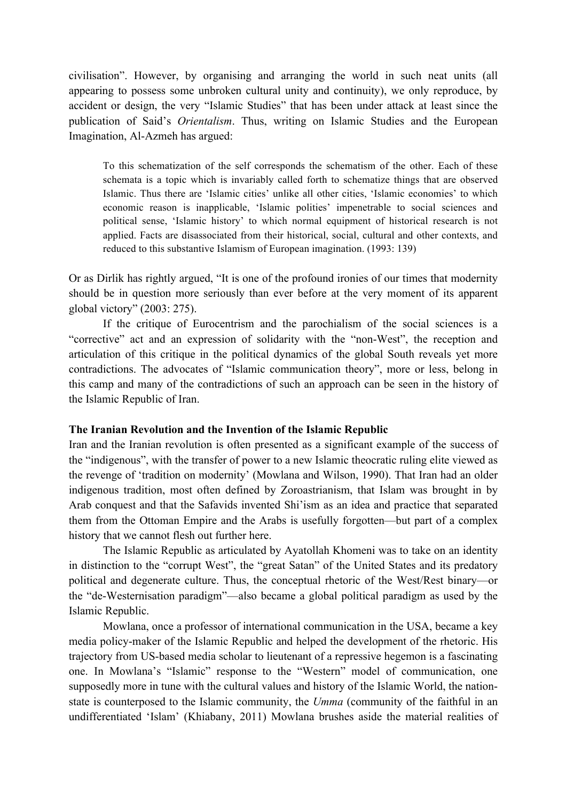civilisation". However, by organising and arranging the world in such neat units (all appearing to possess some unbroken cultural unity and continuity), we only reproduce, by accident or design, the very "Islamic Studies" that has been under attack at least since the publication of Said's *Orientalism*. Thus, writing on Islamic Studies and the European Imagination, Al-Azmeh has argued:

To this schematization of the self corresponds the schematism of the other. Each of these schemata is a topic which is invariably called forth to schematize things that are observed Islamic. Thus there are 'Islamic cities' unlike all other cities, 'Islamic economies' to which economic reason is inapplicable, 'Islamic polities' impenetrable to social sciences and political sense, 'Islamic history' to which normal equipment of historical research is not applied. Facts are disassociated from their historical, social, cultural and other contexts, and reduced to this substantive Islamism of European imagination. (1993: 139)

Or as Dirlik has rightly argued, "It is one of the profound ironies of our times that modernity should be in question more seriously than ever before at the very moment of its apparent global victory" (2003: 275).

If the critique of Eurocentrism and the parochialism of the social sciences is a "corrective" act and an expression of solidarity with the "non-West", the reception and articulation of this critique in the political dynamics of the global South reveals yet more contradictions. The advocates of "Islamic communication theory", more or less, belong in this camp and many of the contradictions of such an approach can be seen in the history of the Islamic Republic of Iran.

## **The Iranian Revolution and the Invention of the Islamic Republic**

Iran and the Iranian revolution is often presented as a significant example of the success of the "indigenous", with the transfer of power to a new Islamic theocratic ruling elite viewed as the revenge of 'tradition on modernity' (Mowlana and Wilson, 1990). That Iran had an older indigenous tradition, most often defined by Zoroastrianism, that Islam was brought in by Arab conquest and that the Safavids invented Shi'ism as an idea and practice that separated them from the Ottoman Empire and the Arabs is usefully forgotten—but part of a complex history that we cannot flesh out further here.

The Islamic Republic as articulated by Ayatollah Khomeni was to take on an identity in distinction to the "corrupt West", the "great Satan" of the United States and its predatory political and degenerate culture. Thus, the conceptual rhetoric of the West/Rest binary—or the "de-Westernisation paradigm"—also became a global political paradigm as used by the Islamic Republic.

Mowlana, once a professor of international communication in the USA, became a key media policy-maker of the Islamic Republic and helped the development of the rhetoric. His trajectory from US-based media scholar to lieutenant of a repressive hegemon is a fascinating one. In Mowlana's "Islamic" response to the "Western" model of communication, one supposedly more in tune with the cultural values and history of the Islamic World, the nationstate is counterposed to the Islamic community, the *Umma* (community of the faithful in an undifferentiated 'Islam' (Khiabany, 2011) Mowlana brushes aside the material realities of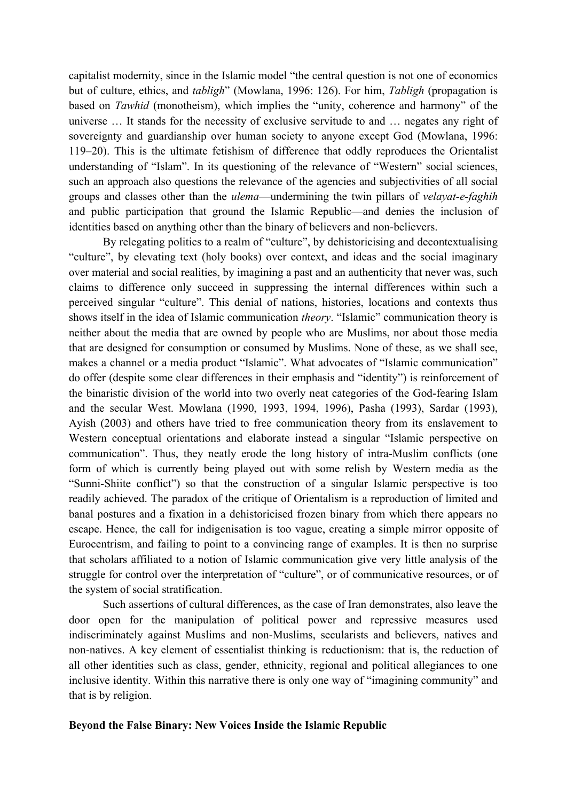capitalist modernity, since in the Islamic model "the central question is not one of economics but of culture, ethics, and *tabligh*" (Mowlana, 1996: 126). For him, *Tabligh* (propagation is based on *Tawhid* (monotheism), which implies the "unity, coherence and harmony" of the universe … It stands for the necessity of exclusive servitude to and … negates any right of sovereignty and guardianship over human society to anyone except God (Mowlana, 1996: 119–20). This is the ultimate fetishism of difference that oddly reproduces the Orientalist understanding of "Islam". In its questioning of the relevance of "Western" social sciences, such an approach also questions the relevance of the agencies and subjectivities of all social groups and classes other than the *ulema*—undermining the twin pillars of *velayat-e-faghih* and public participation that ground the Islamic Republic—and denies the inclusion of identities based on anything other than the binary of believers and non-believers.

By relegating politics to a realm of "culture", by dehistoricising and decontextualising "culture", by elevating text (holy books) over context, and ideas and the social imaginary over material and social realities, by imagining a past and an authenticity that never was, such claims to difference only succeed in suppressing the internal differences within such a perceived singular "culture". This denial of nations, histories, locations and contexts thus shows itself in the idea of Islamic communication *theory*. "Islamic" communication theory is neither about the media that are owned by people who are Muslims, nor about those media that are designed for consumption or consumed by Muslims. None of these, as we shall see, makes a channel or a media product "Islamic". What advocates of "Islamic communication" do offer (despite some clear differences in their emphasis and "identity") is reinforcement of the binaristic division of the world into two overly neat categories of the God-fearing Islam and the secular West. Mowlana (1990, 1993, 1994, 1996), Pasha (1993), Sardar (1993), Ayish (2003) and others have tried to free communication theory from its enslavement to Western conceptual orientations and elaborate instead a singular "Islamic perspective on communication". Thus, they neatly erode the long history of intra-Muslim conflicts (one form of which is currently being played out with some relish by Western media as the "Sunni-Shiite conflict") so that the construction of a singular Islamic perspective is too readily achieved. The paradox of the critique of Orientalism is a reproduction of limited and banal postures and a fixation in a dehistoricised frozen binary from which there appears no escape. Hence, the call for indigenisation is too vague, creating a simple mirror opposite of Eurocentrism, and failing to point to a convincing range of examples. It is then no surprise that scholars affiliated to a notion of Islamic communication give very little analysis of the struggle for control over the interpretation of "culture", or of communicative resources, or of the system of social stratification.

Such assertions of cultural differences, as the case of Iran demonstrates, also leave the door open for the manipulation of political power and repressive measures used indiscriminately against Muslims and non-Muslims, secularists and believers, natives and non-natives. A key element of essentialist thinking is reductionism: that is, the reduction of all other identities such as class, gender, ethnicity, regional and political allegiances to one inclusive identity. Within this narrative there is only one way of "imagining community" and that is by religion.

#### **Beyond the False Binary: New Voices Inside the Islamic Republic**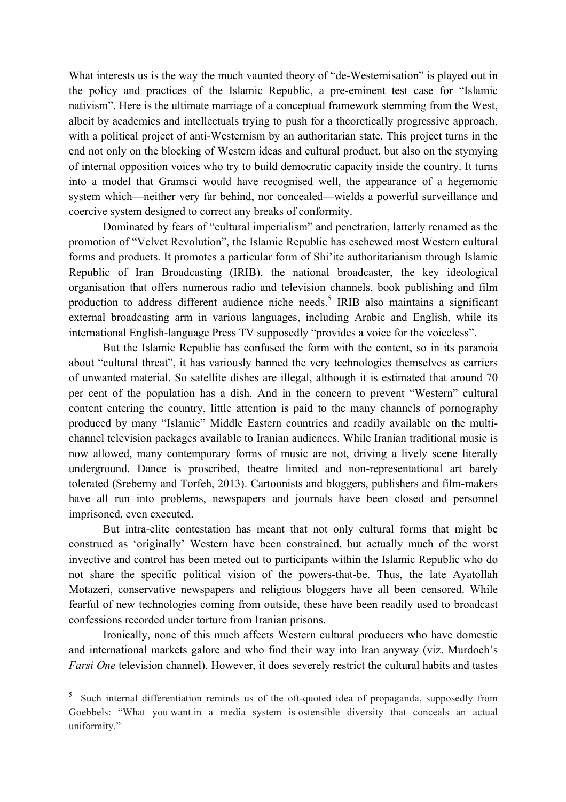What interests us is the way the much vaunted theory of "de-Westernisation" is played out in the policy and practices of the Islamic Republic, a pre-eminent test case for "Islamic nativism". Here is the ultimate marriage of a conceptual framework stemming from the West, albeit by academics and intellectuals trying to push for a theoretically progressive approach, with a political project of anti-Westernism by an authoritarian state. This project turns in the end not only on the blocking of Western ideas and cultural product, but also on the stymying of internal opposition voices who try to build democratic capacity inside the country. It turns into a model that Gramsci would have recognised well, the appearance of a hegemonic system which—neither very far behind, nor concealed—wields a powerful surveillance and coercive system designed to correct any breaks of conformity.

Dominated by fears of "cultural imperialism" and penetration, latterly renamed as the promotion of "Velvet Revolution", the Islamic Republic has eschewed most Western cultural forms and products. It promotes a particular form of Shi'ite authoritarianism through Islamic Republic of Iran Broadcasting (IRIB), the national broadcaster, the key ideological organisation that offers numerous radio and television channels, book publishing and film production to address different audience niche needs.<sup>5</sup> IRIB also maintains a significant external broadcasting arm in various languages, including Arabic and English, while its international English-language Press TV supposedly "provides a voice for the voiceless".

But the Islamic Republic has confused the form with the content, so in its paranoia about "cultural threat", it has variously banned the very technologies themselves as carriers of unwanted material. So satellite dishes are illegal, although it is estimated that around 70 per cent of the population has a dish. And in the concern to prevent "Western" cultural content entering the country, little attention is paid to the many channels of pornography produced by many "Islamic" Middle Eastern countries and readily available on the multichannel television packages available to Iranian audiences. While Iranian traditional music is now allowed, many contemporary forms of music are not, driving a lively scene literally underground. Dance is proscribed, theatre limited and non-representational art barely tolerated (Sreberny and Torfeh, 2013). Cartoonists and bloggers, publishers and film-makers have all run into problems, newspapers and journals have been closed and personnel imprisoned, even executed.

But intra-elite contestation has meant that not only cultural forms that might be construed as 'originally' Western have been constrained, but actually much of the worst invective and control has been meted out to participants within the Islamic Republic who do not share the specific political vision of the powers-that-be. Thus, the late Ayatollah Motazeri, conservative newspapers and religious bloggers have all been censored. While fearful of new technologies coming from outside, these have been readily used to broadcast confessions recorded under torture from Iranian prisons.

Ironically, none of this much affects Western cultural producers who have domestic and international markets galore and who find their way into Iran anyway (viz. Murdoch's *Farsi One* television channel). However, it does severely restrict the cultural habits and tastes

 <sup>5</sup> Such internal differentiation reminds us of the oft-quoted idea of propaganda, supposedly from Goebbels: "What you want in a media system is ostensible diversity that conceals an actual uniformity."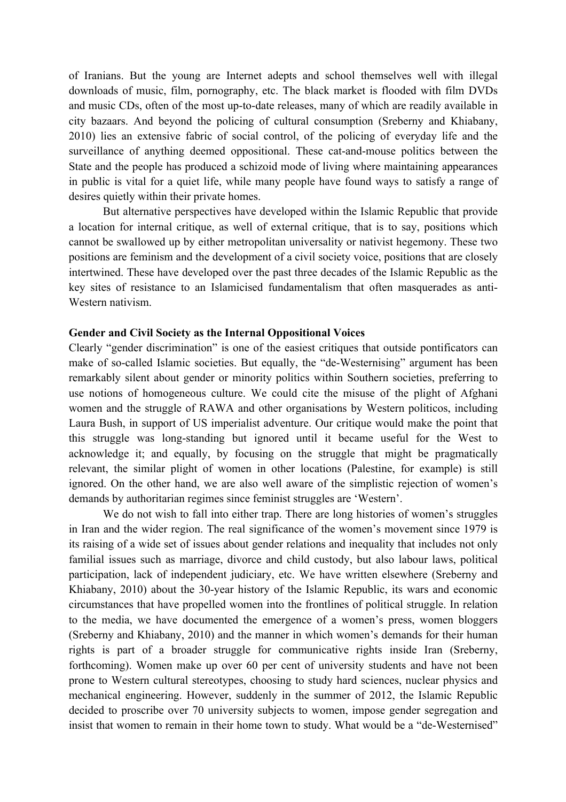of Iranians. But the young are Internet adepts and school themselves well with illegal downloads of music, film, pornography, etc. The black market is flooded with film DVDs and music CDs, often of the most up-to-date releases, many of which are readily available in city bazaars. And beyond the policing of cultural consumption (Sreberny and Khiabany, 2010) lies an extensive fabric of social control, of the policing of everyday life and the surveillance of anything deemed oppositional. These cat-and-mouse politics between the State and the people has produced a schizoid mode of living where maintaining appearances in public is vital for a quiet life, while many people have found ways to satisfy a range of desires quietly within their private homes.

But alternative perspectives have developed within the Islamic Republic that provide a location for internal critique, as well of external critique, that is to say, positions which cannot be swallowed up by either metropolitan universality or nativist hegemony. These two positions are feminism and the development of a civil society voice, positions that are closely intertwined. These have developed over the past three decades of the Islamic Republic as the key sites of resistance to an Islamicised fundamentalism that often masquerades as anti-Western nativism.

## **Gender and Civil Society as the Internal Oppositional Voices**

Clearly "gender discrimination" is one of the easiest critiques that outside pontificators can make of so-called Islamic societies. But equally, the "de-Westernising" argument has been remarkably silent about gender or minority politics within Southern societies, preferring to use notions of homogeneous culture. We could cite the misuse of the plight of Afghani women and the struggle of RAWA and other organisations by Western politicos, including Laura Bush, in support of US imperialist adventure. Our critique would make the point that this struggle was long-standing but ignored until it became useful for the West to acknowledge it; and equally, by focusing on the struggle that might be pragmatically relevant, the similar plight of women in other locations (Palestine, for example) is still ignored. On the other hand, we are also well aware of the simplistic rejection of women's demands by authoritarian regimes since feminist struggles are 'Western'.

We do not wish to fall into either trap. There are long histories of women's struggles in Iran and the wider region. The real significance of the women's movement since 1979 is its raising of a wide set of issues about gender relations and inequality that includes not only familial issues such as marriage, divorce and child custody, but also labour laws, political participation, lack of independent judiciary, etc. We have written elsewhere (Sreberny and Khiabany, 2010) about the 30-year history of the Islamic Republic, its wars and economic circumstances that have propelled women into the frontlines of political struggle. In relation to the media, we have documented the emergence of a women's press, women bloggers (Sreberny and Khiabany, 2010) and the manner in which women's demands for their human rights is part of a broader struggle for communicative rights inside Iran (Sreberny, forthcoming). Women make up over 60 per cent of university students and have not been prone to Western cultural stereotypes, choosing to study hard sciences, nuclear physics and mechanical engineering. However, suddenly in the summer of 2012, the Islamic Republic decided to proscribe over 70 university subjects to women, impose gender segregation and insist that women to remain in their home town to study. What would be a "de-Westernised"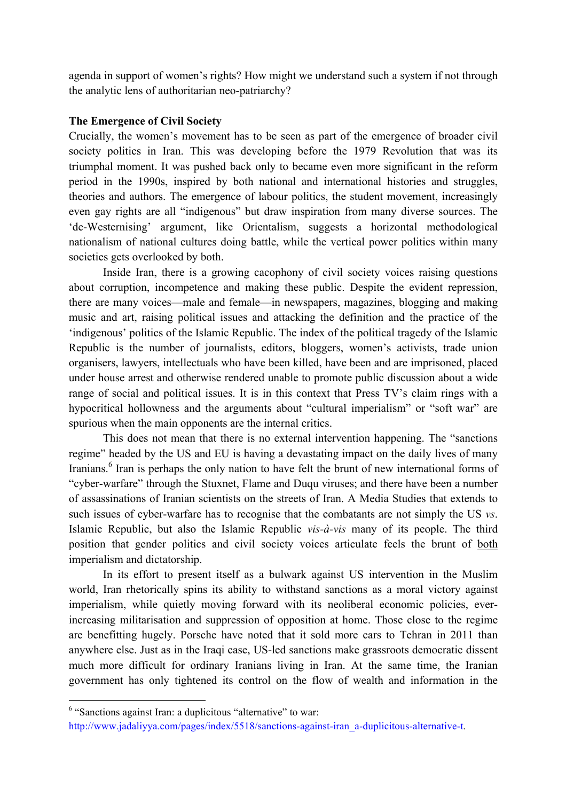agenda in support of women's rights? How might we understand such a system if not through the analytic lens of authoritarian neo-patriarchy?

## **The Emergence of Civil Society**

Crucially, the women's movement has to be seen as part of the emergence of broader civil society politics in Iran. This was developing before the 1979 Revolution that was its triumphal moment. It was pushed back only to became even more significant in the reform period in the 1990s, inspired by both national and international histories and struggles, theories and authors. The emergence of labour politics, the student movement, increasingly even gay rights are all "indigenous" but draw inspiration from many diverse sources. The 'de-Westernising' argument, like Orientalism, suggests a horizontal methodological nationalism of national cultures doing battle, while the vertical power politics within many societies gets overlooked by both.

Inside Iran, there is a growing cacophony of civil society voices raising questions about corruption, incompetence and making these public. Despite the evident repression, there are many voices—male and female—in newspapers, magazines, blogging and making music and art, raising political issues and attacking the definition and the practice of the 'indigenous' politics of the Islamic Republic. The index of the political tragedy of the Islamic Republic is the number of journalists, editors, bloggers, women's activists, trade union organisers, lawyers, intellectuals who have been killed, have been and are imprisoned, placed under house arrest and otherwise rendered unable to promote public discussion about a wide range of social and political issues. It is in this context that Press TV's claim rings with a hypocritical hollowness and the arguments about "cultural imperialism" or "soft war" are spurious when the main opponents are the internal critics.

This does not mean that there is no external intervention happening. The "sanctions regime" headed by the US and EU is having a devastating impact on the daily lives of many Iranians.<sup>6</sup> Iran is perhaps the only nation to have felt the brunt of new international forms of "cyber-warfare" through the Stuxnet, Flame and Duqu viruses; and there have been a number of assassinations of Iranian scientists on the streets of Iran. A Media Studies that extends to such issues of cyber-warfare has to recognise that the combatants are not simply the US *vs*. Islamic Republic, but also the Islamic Republic *vis-à-vis* many of its people. The third position that gender politics and civil society voices articulate feels the brunt of both imperialism and dictatorship.

In its effort to present itself as a bulwark against US intervention in the Muslim world, Iran rhetorically spins its ability to withstand sanctions as a moral victory against imperialism, while quietly moving forward with its neoliberal economic policies, everincreasing militarisation and suppression of opposition at home. Those close to the regime are benefitting hugely. Porsche have noted that it sold more cars to Tehran in 2011 than anywhere else. Just as in the Iraqi case, US-led sanctions make grassroots democratic dissent much more difficult for ordinary Iranians living in Iran. At the same time, the Iranian government has only tightened its control on the flow of wealth and information in the

 <sup>6</sup> "Sanctions against Iran: a duplicitous "alternative" to war:

http://www.jadaliyya.com/pages/index/5518/sanctions-against-iran\_a-duplicitous-alternative-t.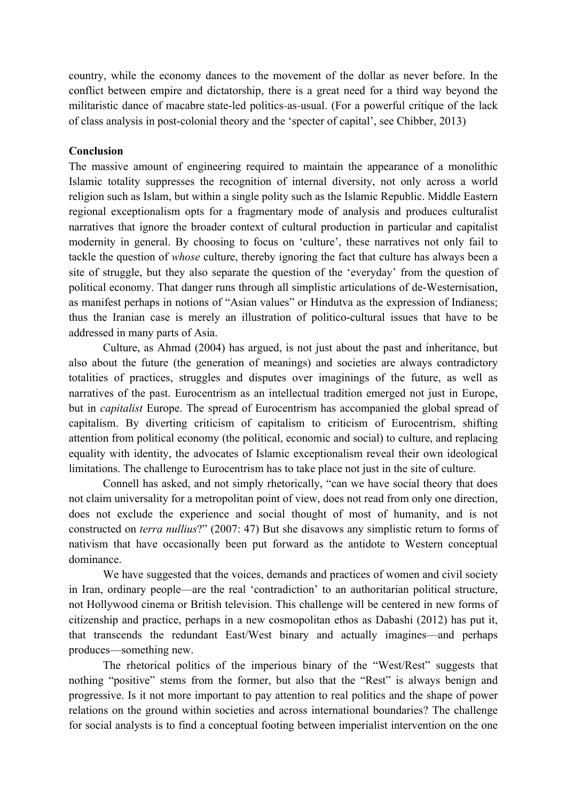country, while the economy dances to the movement of the dollar as never before. In the conflict between empire and dictatorship, there is a great need for a third way beyond the militaristic dance of macabre state-led politics-as-usual. (For a powerful critique of the lack of class analysis in post-colonial theory and the 'specter of capital', see Chibber, 2013)

## **Conclusion**

The massive amount of engineering required to maintain the appearance of a monolithic Islamic totality suppresses the recognition of internal diversity, not only across a world religion such as Islam, but within a single polity such as the Islamic Republic. Middle Eastern regional exceptionalism opts for a fragmentary mode of analysis and produces culturalist narratives that ignore the broader context of cultural production in particular and capitalist modernity in general. By choosing to focus on 'culture', these narratives not only fail to tackle the question of *whose* culture, thereby ignoring the fact that culture has always been a site of struggle, but they also separate the question of the 'everyday' from the question of political economy. That danger runs through all simplistic articulations of de-Westernisation, as manifest perhaps in notions of "Asian values" or Hindutva as the expression of Indianess; thus the Iranian case is merely an illustration of politico-cultural issues that have to be addressed in many parts of Asia.

Culture, as Ahmad (2004) has argued, is not just about the past and inheritance, but also about the future (the generation of meanings) and societies are always contradictory totalities of practices, struggles and disputes over imaginings of the future, as well as narratives of the past. Eurocentrism as an intellectual tradition emerged not just in Europe, but in *capitalist* Europe. The spread of Eurocentrism has accompanied the global spread of capitalism. By diverting criticism of capitalism to criticism of Eurocentrism, shifting attention from political economy (the political, economic and social) to culture, and replacing equality with identity, the advocates of Islamic exceptionalism reveal their own ideological limitations. The challenge to Eurocentrism has to take place not just in the site of culture.

Connell has asked, and not simply rhetorically, "can we have social theory that does not claim universality for a metropolitan point of view, does not read from only one direction, does not exclude the experience and social thought of most of humanity, and is not constructed on *terra nullius*?" (2007: 47) But she disavows any simplistic return to forms of nativism that have occasionally been put forward as the antidote to Western conceptual dominance.

We have suggested that the voices, demands and practices of women and civil society in Iran, ordinary people—are the real 'contradiction' to an authoritarian political structure, not Hollywood cinema or British television. This challenge will be centered in new forms of citizenship and practice, perhaps in a new cosmopolitan ethos as Dabashi (2012) has put it, that transcends the redundant East/West binary and actually imagines—and perhaps produces—something new.

The rhetorical politics of the imperious binary of the "West/Rest" suggests that nothing "positive" stems from the former, but also that the "Rest" is always benign and progressive. Is it not more important to pay attention to real politics and the shape of power relations on the ground within societies and across international boundaries? The challenge for social analysts is to find a conceptual footing between imperialist intervention on the one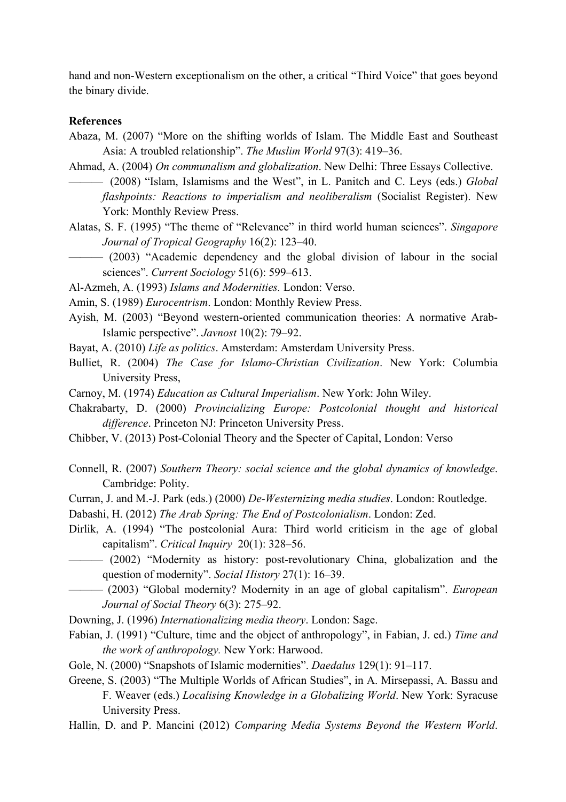hand and non-Western exceptionalism on the other, a critical "Third Voice" that goes beyond the binary divide.

#### **References**

- Abaza, M. (2007) "More on the shifting worlds of Islam. The Middle East and Southeast Asia: A troubled relationship". *The Muslim World* 97(3): 419–36.
- Ahmad, A. (2004) *On communalism and globalization*. New Delhi: Three Essays Collective.
	- ——— (2008) "Islam, Islamisms and the West", in L. Panitch and C. Leys (eds.) *Global flashpoints: Reactions to imperialism and neoliberalism* (Socialist Register). New York: Monthly Review Press.
- Alatas, S. F. (1995) "The theme of "Relevance" in third world human sciences". *Singapore Journal of Tropical Geography* 16(2): 123–40.

 $-$  (2003) "Academic dependency and the global division of labour in the social sciences". *Current Sociology* 51(6): 599–613.

Al-Azmeh, A. (1993) *Islams and Modernities.* London: Verso.

Amin, S. (1989) *Eurocentrism*. London: Monthly Review Press.

- Ayish, M. (2003) "Beyond western-oriented communication theories: A normative Arab-Islamic perspective". *Javnost* 10(2): 79–92.
- Bayat, A. (2010) *Life as politics*. Amsterdam: Amsterdam University Press.
- Bulliet, R. (2004) *The Case for Islamo-Christian Civilization*. New York: Columbia University Press,
- Carnoy, M. (1974) *Education as Cultural Imperialism*. New York: John Wiley.
- Chakrabarty, D. (2000) *Provincializing Europe: Postcolonial thought and historical difference*. Princeton NJ: Princeton University Press.
- Chibber, V. (2013) Post-Colonial Theory and the Specter of Capital, London: Verso
- Connell, R. (2007) *Southern Theory: social science and the global dynamics of knowledge*. Cambridge: Polity.
- Curran, J. and M.-J. Park (eds.) (2000) *De-Westernizing media studies*. London: Routledge.
- Dabashi, H. (2012) *The Arab Spring: The End of Postcolonialism*. London: Zed.
- Dirlik, A. (1994) "The postcolonial Aura: Third world criticism in the age of global capitalism". *Critical Inquiry* 20(1): 328–56.
	- ——— (2002) "Modernity as history: post-revolutionary China, globalization and the question of modernity". *Social History* 27(1): 16–39.
- ——— (2003) "Global modernity? Modernity in an age of global capitalism". *European Journal of Social Theory* 6(3): 275–92.
- Downing, J. (1996) *Internationalizing media theory*. London: Sage.
- Fabian, J. (1991) "Culture, time and the object of anthropology", in Fabian, J. ed.) *Time and the work of anthropology.* New York: Harwood.
- Gole, N. (2000) "Snapshots of Islamic modernities". *Daedalus* 129(1): 91–117.
- Greene, S. (2003) "The Multiple Worlds of African Studies", in A. Mirsepassi, A. Bassu and F. Weaver (eds.) *Localising Knowledge in a Globalizing World*. New York: Syracuse University Press.
- Hallin, D. and P. Mancini (2012) *Comparing Media Systems Beyond the Western World*.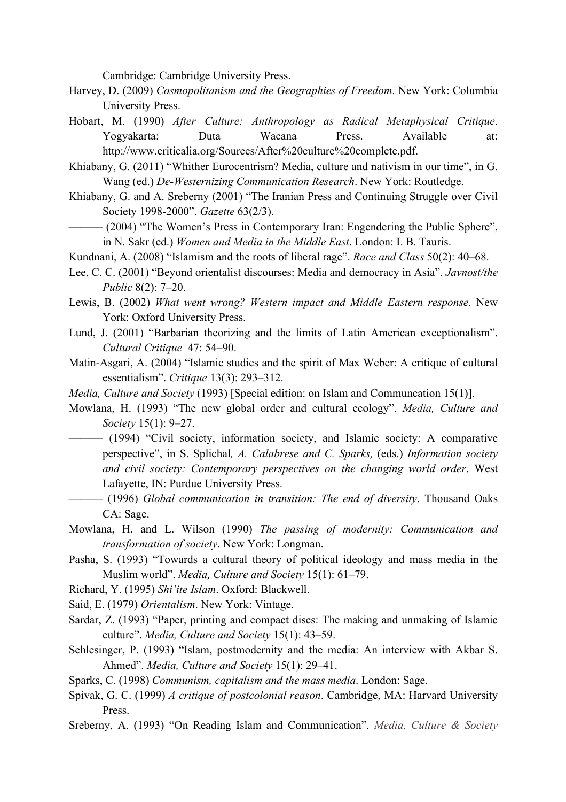Cambridge: Cambridge University Press.

- Harvey, D. (2009) *Cosmopolitanism and the Geographies of Freedom*. New York: Columbia University Press.
- Hobart, M. (1990) *After Culture: Anthropology as Radical Metaphysical Critique*. Yogyakarta: Duta Wacana Press. Available at: http://www.criticalia.org/Sources/After%20culture%20complete.pdf.
- Khiabany, G. (2011) "Whither Eurocentrism? Media, culture and nativism in our time", in G. Wang (ed.) *De-Westernizing Communication Research*. New York: Routledge.
- Khiabany, G. and A. Sreberny (2001) "The Iranian Press and Continuing Struggle over Civil Society 1998-2000". *Gazette* 63(2/3).
- ——— (2004) "The Women's Press in Contemporary Iran: Engendering the Public Sphere", in N. Sakr (ed.) *Women and Media in the Middle East*. London: I. B. Tauris.
- Kundnani, A. (2008) "Islamism and the roots of liberal rage". *Race and Class* 50(2): 40–68.
- Lee, C. C. (2001) "Beyond orientalist discourses: Media and democracy in Asia". *Javnost/the Public* 8(2): 7–20.
- Lewis, B. (2002) *What went wrong? Western impact and Middle Eastern response*. New York: Oxford University Press.
- Lund, J. (2001) "Barbarian theorizing and the limits of Latin American exceptionalism". *Cultural Critique* 47: 54–90.
- Matin-Asgari, A. (2004) "Islamic studies and the spirit of Max Weber: A critique of cultural essentialism". *Critique* 13(3): 293–312.
- *Media, Culture and Society* (1993) [Special edition: on Islam and Communcation 15(1)].
- Mowlana, H. (1993) "The new global order and cultural ecology". *Media, Culture and Society* 15(1): 9–27.
- ——— (1994) "Civil society, information society, and Islamic society: A comparative perspective", in S. Splichal*, A. Calabrese and C. Sparks,* (eds.) *Information society and civil society: Contemporary perspectives on the changing world order*. West Lafayette, IN: Purdue University Press.
- ——— (1996) *Global communication in transition: The end of diversity*. Thousand Oaks CA: Sage.
- Mowlana, H. and L. Wilson (1990) *The passing of modernity: Communication and transformation of society*. New York: Longman.
- Pasha, S. (1993) "Towards a cultural theory of political ideology and mass media in the Muslim world". *Media, Culture and Society* 15(1): 61–79.
- Richard, Y. (1995) *Shi'ite Islam*. Oxford: Blackwell.
- Said, E. (1979) *Orientalism*. New York: Vintage.
- Sardar, Z. (1993) "Paper, printing and compact discs: The making and unmaking of Islamic culture". *Media, Culture and Society* 15(1): 43–59.
- Schlesinger, P. (1993) "Islam, postmodernity and the media: An interview with Akbar S. Ahmed". *Media, Culture and Society* 15(1): 29–41.
- Sparks, C. (1998) *Communism, capitalism and the mass media*. London: Sage.
- Spivak, G. C. (1999) *A critique of postcolonial reason*. Cambridge, MA: Harvard University Press.
- Sreberny, A. (1993) "On Reading Islam and Communication". *Media, Culture & Society*